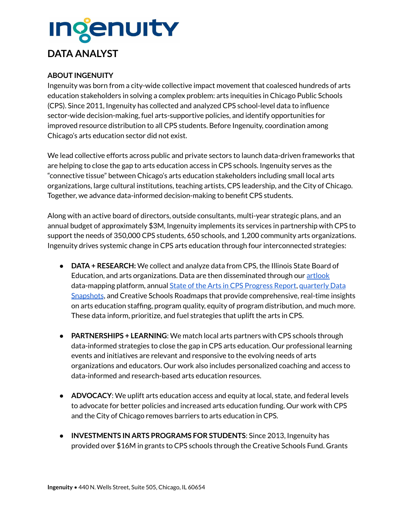# **Ingenuity DATA ANALYST**

### **ABOUT INGENUITY**

Ingenuity was born from a city-wide collective impact movement that coalesced hundreds of arts education stakeholders in solving a complex problem: arts inequities in Chicago Public Schools (CPS). Since 2011, Ingenuity has collected and analyzed CPS school-level data to influence sector-wide decision-making, fuel arts-supportive policies, and identify opportunities for improved resource distribution to all CPS students. Before Ingenuity, coordination among Chicago's arts education sector did not exist.

We lead collective efforts across public and private sectors to launch data-driven frameworks that are helping to close the gap to arts education access in CPS schools. Ingenuity serves as the "connective tissue" between Chicago's arts education stakeholders including small local arts organizations, large cultural institutions, teaching artists, CPS leadership, and the City of Chicago. Together, we advance data-informed decision-making to benefit CPS students.

Along with an active board of directors, outside consultants, multi-year strategic plans, and an annual budget of approximately \$3M, Ingenuity implements its services in partnership with CPS to support the needs of 350,000 CPS students, 650 schools, and 1,200 community arts organizations. Ingenuity drives systemic change in CPS arts education through four interconnected strategies:

- **DATA + RESEARCH:** We collect and analyze data from CPS, the Illinois State Board of Education, and arts organizations. Data are then disseminated through our [artlook](https://chicago.artlookmap.com/) data-mapping platform, annual State of the Arts in CPS [Progress](https://www.ingenuity-inc.org/data-research/state-of-the-arts/) Report, [quarterly](https://www.ingenuity-inc.org/data-research/data-snapshots/) Data [Snapshots](https://www.ingenuity-inc.org/data-research/data-snapshots/), and Creative Schools Roadmaps that provide comprehensive, real-time insights on arts education staffing, program quality, equity of program distribution, and much more. These data inform, prioritize, and fuel strategies that uplift the arts in CPS.
- **PARTNERSHIPS + LEARNING**: We match local arts partners with CPS schools through data-informed strategies to close the gap in CPS arts education. Our professional learning events and initiatives are relevant and responsive to the evolving needs of arts organizations and educators. Our work also includes personalized coaching and access to data-informed and research-based arts education resources.
- **ADVOCACY**: We uplift arts education access and equity at local, state, and federal levels to advocate for better policies and increased arts education funding. Our work with CPS and the City of Chicago removes barriers to arts education in CPS.
- **INVESTMENTS IN ARTS PROGRAMS FOR STUDENTS**: Since 2013, Ingenuity has provided over \$16M in grants to CPS schools through the Creative Schools Fund. Grants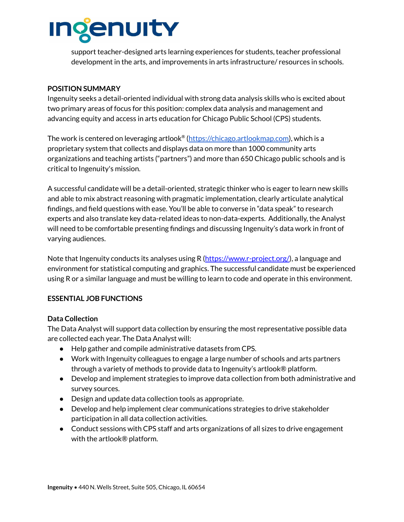

support teacher-designed arts learning experiences for students, teacher professional development in the arts, and improvements in arts infrastructure/ resources in schools.

#### **POSITION SUMMARY**

Ingenuity seeks a detail-oriented individual with strong data analysis skills who is excited about two primary areas of focus for this position: complex data analysis and management and advancing equity and access in arts education for Chicago Public School (CPS) students.

The work is centered on leveraging artlook® (<u>https://chicago.artlookmap.com</u>), which is a proprietary system that collects and displays data on more than 1000 community arts organizations and teaching artists ("partners") and more than 650 Chicago public schools and is critical to Ingenuity's mission.

A successful candidate will be a detail-oriented, strategic thinker who is eager to learn new skills and able to mix abstract reasoning with pragmatic implementation, clearly articulate analytical findings, and field questions with ease. You'll be able to converse in "data speak" to research experts and also translate key data-related ideas to non-data-experts. Additionally, the Analyst will need to be comfortable presenting findings and discussing Ingenuity's data work in front of varying audiences.

Note that Ingenuity conducts its analyses using R ([https://www.r-project.org/\)](https://www.r-project.org/), a language and environment for statistical computing and graphics. The successful candidate must be experienced using R or a similar language and must be willing to learn to code and operate in this environment.

#### **ESSENTIAL JOB FUNCTIONS**

#### **Data Collection**

The Data Analyst will support data collection by ensuring the most representative possible data are collected each year. The Data Analyst will:

- Help gather and compile administrative datasets from CPS.
- Work with Ingenuity colleagues to engage a large number of schools and arts partners through a variety of methods to provide data to Ingenuity's artlook® platform.
- Develop and implement strategies to improve data collection from both administrative and survey sources.
- Design and update data collection tools as appropriate.
- Develop and help implement clear communications strategies to drive stakeholder participation in all data collection activities.
- Conduct sessions with CPS staff and arts organizations of all sizes to drive engagement with the artlook® platform.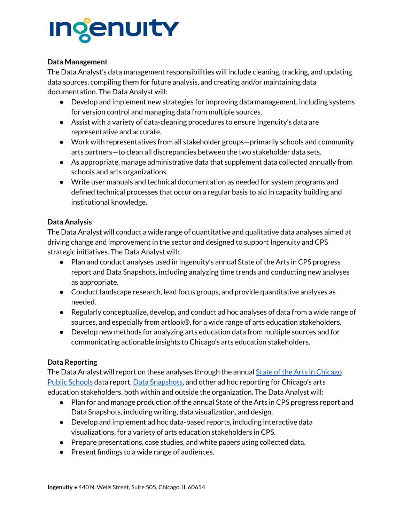# **Ingenuity**

#### **Data Management**

The Data Analyst's data management responsibilities will include cleaning, tracking, and updating data sources, compiling them for future analysis, and creating and/or maintaining data documentation. The Data Analyst will:

- Develop and implement new strategies for improving data management, including systems for version control and managing data from multiple sources.
- Assist with a variety of data-cleaning procedures to ensure Ingenuity's data are representative and accurate.
- Work with representatives from all stakeholder groups—primarily schools and community arts partners—to clean all discrepancies between the two stakeholder data sets.
- As appropriate, manage administrative data that supplement data collected annually from schools and arts organizations.
- Write user manuals and technical documentation as needed for system programs and defined technical processes that occur on a regular basis to aid in capacity building and institutional knowledge.

### **Data Analysis**

The Data Analyst will conduct a wide range of quantitative and qualitative data analyses aimed at driving change and improvement in the sector and designed to support Ingenuity and CPS strategic initiatives. The Data Analyst will:.

- Plan and conduct analyses used in Ingenuity's annual State of the Arts in CPS progress report and Data Snapshots, including analyzing time trends and conducting new analyses as appropriate.
- Conduct landscape research, lead focus groups, and provide quantitative analyses as needed.
- Regularly conceptualize, develop, and conduct ad hoc analyses of data from a wide range of sources, and especially from artlook®, for a wide range of arts education stakeholders.
- Develop new methods for analyzing arts education data from multiple sources and for communicating actionable insights to Chicago's arts education stakeholders.

# **Data Reporting**

The Data Analyst will report on these analyses through the annual **State of the Arts in [Chicago](https://www.ingenuity-inc.org/data-research/state-of-the-arts/)** Public [Schools](https://www.ingenuity-inc.org/data-research/state-of-the-arts/) data report, Data [Snapshots,](https://www.ingenuity-inc.org/data-research/data-snapshots/) and other ad hoc reporting for Chicago's arts education stakeholders, both within and outside the organization. The Data Analyst will:

- Plan for and manage production of the annual State of the Arts in CPS progress report and Data Snapshots, including writing, data visualization, and design.
- Develop and implement ad hoc data-based reports, including interactive data visualizations, for a variety of arts education stakeholders in CPS.
- Prepare presentations, case studies, and white papers using collected data.
- Present findings to a wide range of audiences.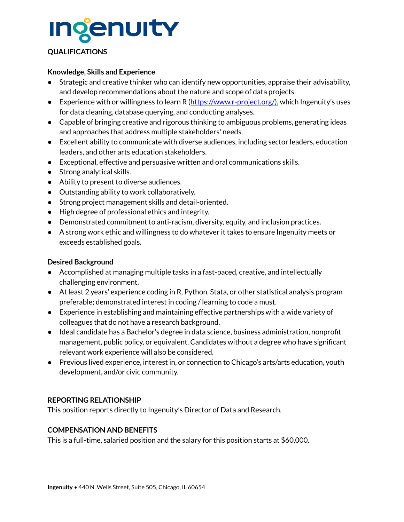

#### **QUALIFICATIONS**

#### **Knowledge, Skills and Experience**

- Strategic and creative thinker who can identify new opportunities, appraise their advisability, and develop recommendations about the nature and scope of data projects.
- **•** Experience with or willingness to learn R ( $\frac{https://www.r-project.org/)}{https://www.r-project.org/)}$  $\frac{https://www.r-project.org/)}{https://www.r-project.org/)}$  $\frac{https://www.r-project.org/)}{https://www.r-project.org/)}$ , which Ingenuity's uses for data cleaning, database querying, and conducting analyses.
- Capable of bringing creative and rigorous thinking to ambiguous problems, generating ideas and approaches that address multiple stakeholders' needs.
- Excellent ability to communicate with diverse audiences, including sector leaders, education leaders, and other arts education stakeholders.
- Exceptional, effective and persuasive written and oral communications skills.
- Strong analytical skills.
- Ability to present to diverse audiences.
- Outstanding ability to work collaboratively.
- Strong project management skills and detail-oriented.
- High degree of professional ethics and integrity.
- Demonstrated commitment to anti-racism, diversity, equity, and inclusion practices.
- A strong work ethic and willingness to do whatever it takes to ensure Ingenuity meets or exceeds established goals.

#### **Desired Background**

- Accomplished at managing multiple tasks in a fast-paced, creative, and intellectually challenging environment.
- At least 2 years' experience coding in R, Python, Stata, or other statistical analysis program preferable; demonstrated interest in coding / learning to code a must.
- Experience in establishing and maintaining effective partnerships with a wide variety of colleagues that do not have a research background.
- Ideal candidate has a Bachelor's degree in data science, business administration, nonprofit management, public policy, or equivalent. Candidates without a degree who have significant relevant work experience will also be considered.
- Previous lived experience, interest in, or connection to Chicago's arts/arts education, youth development, and/or civic community.

#### **REPORTING RELATIONSHIP**

This position reports directly to Ingenuity's Director of Data and Research.

#### **COMPENSATION AND BENEFITS**

This is a full-time, salaried position and the salary for this position starts at \$60,000.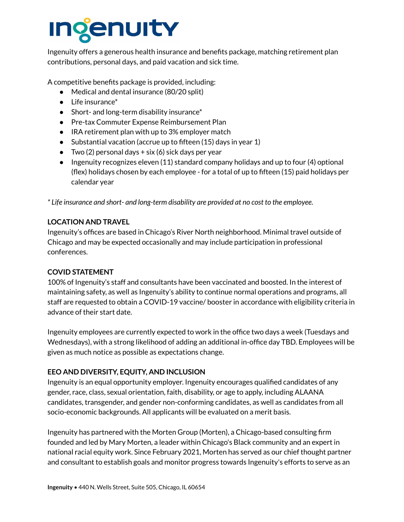# **ienuity**

Ingenuity offers a generous health insurance and benefits package, matching retirement plan contributions, personal days, and paid vacation and sick time.

A competitive benefits package is provided, including:

- Medical and dental insurance (80/20 split)
- Life insurance\*
- Short- and long-term disability insurance\*
- Pre-tax Commuter Expense Reimbursement Plan
- IRA retirement plan with up to 3% employer match
- Substantial vacation (accrue up to fifteen  $(15)$  days in year 1)
- $\bullet$  Two (2) personal days + six (6) sick days per year
- Ingenuity recognizes eleven  $(11)$  standard company holidays and up to four  $(4)$  optional (flex) holidays chosen by each employee - for a total of up to fifteen (15) paid holidays per calendar year

*\* Life insurance and short- and long-term disability are provided at no cost to the employee.*

#### **LOCATION AND TRAVEL**

Ingenuity's offices are based in Chicago's River North neighborhood. Minimal travel outside of Chicago and may be expected occasionally and may include participation in professional conferences.

#### **COVID STATEMENT**

100% of Ingenuity's staff and consultants have been vaccinated and boosted. In the interest of maintaining safety, as well as Ingenuity's ability to continue normal operations and programs, all staff are requested to obtain a COVID-19 vaccine/ booster in accordance with eligibility criteria in advance of their start date.

Ingenuity employees are currently expected to work in the office two days a week (Tuesdays and Wednesdays), with a strong likelihood of adding an additional in-office day TBD. Employees will be given as much notice as possible as expectations change.

#### **EEO AND DIVERSITY, EQUITY, AND INCLUSION**

Ingenuity is an equal opportunity employer. Ingenuity encourages qualified candidates of any gender, race, class, sexual orientation, faith, disability, or age to apply, including ALAANA candidates, transgender, and gender non-conforming candidates, as well as candidates from all socio-economic backgrounds. All applicants will be evaluated on a merit basis.

Ingenuity has partnered with the Morten Group (Morten), a Chicago-based consulting firm founded and led by Mary Morten, a leader within Chicago's Black community and an expert in national racial equity work. Since February 2021, Morten has served as our chief thought partner and consultant to establish goals and monitor progress towards Ingenuity's efforts to serve as an